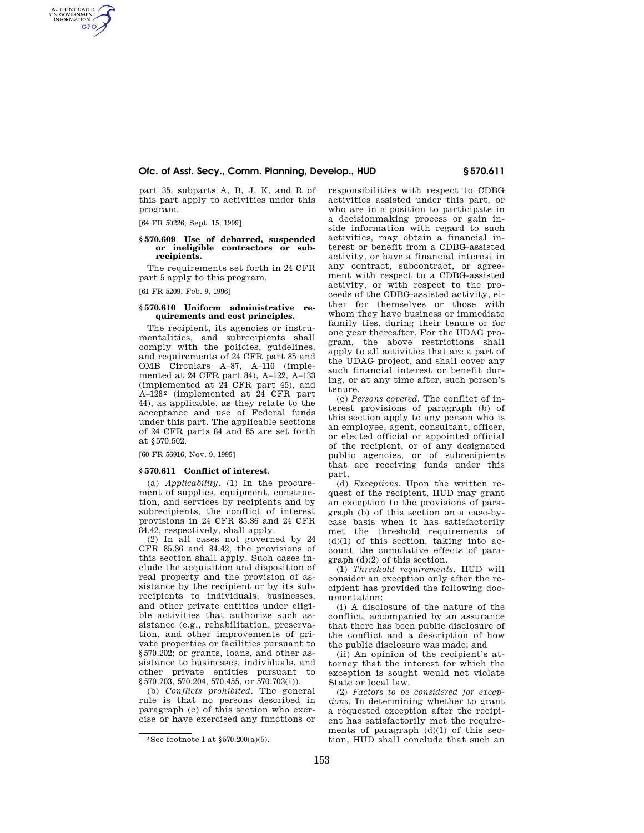# **Ofc. of Asst. Secy., Comm. Planning, Develop., HUD § 570.611**

part 35, subparts A, B, J, K, and R of this part apply to activities under this program.

[64 FR 50226, Sept. 15, 1999]

AUTHENTICATED<br>U.S. GOVERNMENT<br>INFORMATION **GPO** 

### **§ 570.609 Use of debarred, suspended or ineligible contractors or subrecipients.**

The requirements set forth in 24 CFR part 5 apply to this program.

[61 FR 5209, Feb. 9, 1996]

# **§ 570.610 Uniform administrative requirements and cost principles.**

The recipient, its agencies or instrumentalities, and subrecipients shall comply with the policies, guidelines, and requirements of 24 CFR part 85 and OMB Circulars A–87, A–110 (implemented at 24 CFR part 84), A–122, A–133 (implemented at 24 CFR part 45), and A-128<sup>2</sup> (implemented at 24 CFR part 44), as applicable, as they relate to the acceptance and use of Federal funds under this part. The applicable sections of 24 CFR parts 84 and 85 are set forth at §570.502.

[60 FR 56916, Nov. 9, 1995]

#### **§ 570.611 Conflict of interest.**

(a) *Applicability.* (1) In the procurement of supplies, equipment, construction, and services by recipients and by subrecipients, the conflict of interest provisions in 24 CFR 85.36 and 24 CFR 84.42, respectively, shall apply.

(2) In all cases not governed by 24 CFR 85.36 and 84.42, the provisions of this section shall apply. Such cases include the acquisition and disposition of real property and the provision of assistance by the recipient or by its subrecipients to individuals, businesses, and other private entities under eligible activities that authorize such assistance (e.g., rehabilitation, preservation, and other improvements of private properties or facilities pursuant to §570.202; or grants, loans, and other assistance to businesses, individuals, and other private entities pursuant to §570.203, 570.204, 570.455, or 570.703(i)).

(b) *Conflicts prohibited.* The general rule is that no persons described in paragraph (c) of this section who exercise or have exercised any functions or responsibilities with respect to CDBG activities assisted under this part, or who are in a position to participate in a decisionmaking process or gain inside information with regard to such activities, may obtain a financial interest or benefit from a CDBG-assisted activity, or have a financial interest in any contract, subcontract, or agreement with respect to a CDBG-assisted activity, or with respect to the proceeds of the CDBG-assisted activity, either for themselves or those with whom they have business or immediate family ties, during their tenure or for one year thereafter. For the UDAG program, the above restrictions shall apply to all activities that are a part of the UDAG project, and shall cover any such financial interest or benefit during, or at any time after, such person's tenure.

(c) *Persons covered.* The conflict of interest provisions of paragraph (b) of this section apply to any person who is an employee, agent, consultant, officer, or elected official or appointed official of the recipient, or of any designated public agencies, or of subrecipients that are receiving funds under this part.

(d) *Exceptions.* Upon the written request of the recipient, HUD may grant an exception to the provisions of paragraph (b) of this section on a case-bycase basis when it has satisfactorily met the threshold requirements of  $(d)(1)$  of this section, taking into account the cumulative effects of paragraph (d)(2) of this section.

(1) *Threshold requirements.* HUD will consider an exception only after the recipient has provided the following documentation:

(i) A disclosure of the nature of the conflict, accompanied by an assurance that there has been public disclosure of the conflict and a description of how the public disclosure was made; and

(ii) An opinion of the recipient's attorney that the interest for which the exception is sought would not violate State or local law.

(2) *Factors to be considered for exceptions.* In determining whether to grant a requested exception after the recipient has satisfactorily met the requirements of paragraph (d)(1) of this section, HUD shall conclude that such an

<sup>&</sup>lt;sup>2</sup> See footnote 1 at  $$570.200(a)(5)$ .